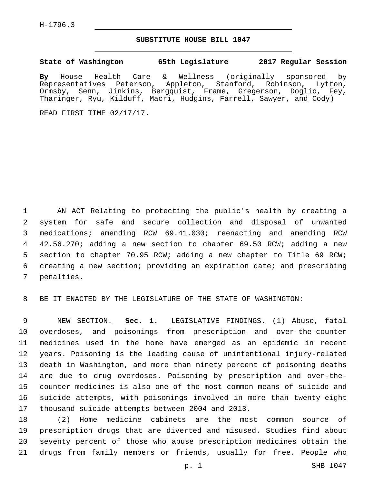## **SUBSTITUTE HOUSE BILL 1047**

**State of Washington 65th Legislature 2017 Regular Session**

**By** House Health Care & Wellness (originally sponsored by Representatives Peterson, Appleton, Stanford, Robinson, Lytton, Ormsby, Senn, Jinkins, Bergquist, Frame, Gregerson, Doglio, Fey, Tharinger, Ryu, Kilduff, Macri, Hudgins, Farrell, Sawyer, and Cody)

READ FIRST TIME 02/17/17.

 AN ACT Relating to protecting the public's health by creating a system for safe and secure collection and disposal of unwanted medications; amending RCW 69.41.030; reenacting and amending RCW 42.56.270; adding a new section to chapter 69.50 RCW; adding a new section to chapter 70.95 RCW; adding a new chapter to Title 69 RCW; creating a new section; providing an expiration date; and prescribing 7 penalties.

BE IT ENACTED BY THE LEGISLATURE OF THE STATE OF WASHINGTON:

 NEW SECTION. **Sec. 1.** LEGISLATIVE FINDINGS. (1) Abuse, fatal overdoses, and poisonings from prescription and over-the-counter medicines used in the home have emerged as an epidemic in recent years. Poisoning is the leading cause of unintentional injury-related death in Washington, and more than ninety percent of poisoning deaths are due to drug overdoses. Poisoning by prescription and over-the- counter medicines is also one of the most common means of suicide and suicide attempts, with poisonings involved in more than twenty-eight 17 thousand suicide attempts between 2004 and 2013.

 (2) Home medicine cabinets are the most common source of prescription drugs that are diverted and misused. Studies find about seventy percent of those who abuse prescription medicines obtain the drugs from family members or friends, usually for free. People who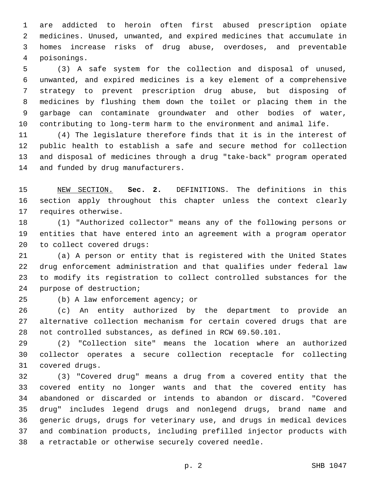are addicted to heroin often first abused prescription opiate medicines. Unused, unwanted, and expired medicines that accumulate in homes increase risks of drug abuse, overdoses, and preventable poisonings.4

 (3) A safe system for the collection and disposal of unused, unwanted, and expired medicines is a key element of a comprehensive strategy to prevent prescription drug abuse, but disposing of medicines by flushing them down the toilet or placing them in the garbage can contaminate groundwater and other bodies of water, contributing to long-term harm to the environment and animal life.

 (4) The legislature therefore finds that it is in the interest of public health to establish a safe and secure method for collection and disposal of medicines through a drug "take-back" program operated 14 and funded by drug manufacturers.

 NEW SECTION. **Sec. 2.** DEFINITIONS. The definitions in this section apply throughout this chapter unless the context clearly requires otherwise.

 (1) "Authorized collector" means any of the following persons or entities that have entered into an agreement with a program operator 20 to collect covered drugs:

 (a) A person or entity that is registered with the United States drug enforcement administration and that qualifies under federal law to modify its registration to collect controlled substances for the 24 purpose of destruction;

(b) A law enforcement agency; or

 (c) An entity authorized by the department to provide an alternative collection mechanism for certain covered drugs that are not controlled substances, as defined in RCW 69.50.101.

 (2) "Collection site" means the location where an authorized collector operates a secure collection receptacle for collecting 31 covered drugs.

 (3) "Covered drug" means a drug from a covered entity that the covered entity no longer wants and that the covered entity has abandoned or discarded or intends to abandon or discard. "Covered drug" includes legend drugs and nonlegend drugs, brand name and generic drugs, drugs for veterinary use, and drugs in medical devices and combination products, including prefilled injector products with a retractable or otherwise securely covered needle.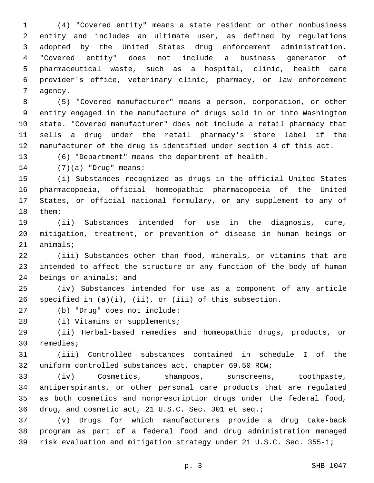(4) "Covered entity" means a state resident or other nonbusiness entity and includes an ultimate user, as defined by regulations adopted by the United States drug enforcement administration. "Covered entity" does not include a business generator of pharmaceutical waste, such as a hospital, clinic, health care provider's office, veterinary clinic, pharmacy, or law enforcement 7 agency.

 (5) "Covered manufacturer" means a person, corporation, or other entity engaged in the manufacture of drugs sold in or into Washington state. "Covered manufacturer" does not include a retail pharmacy that sells a drug under the retail pharmacy's store label if the manufacturer of the drug is identified under section 4 of this act.

(6) "Department" means the department of health.

(7)(a) "Drug" means:14

 (i) Substances recognized as drugs in the official United States pharmacopoeia, official homeopathic pharmacopoeia of the United States, or official national formulary, or any supplement to any of 18 them;

 (ii) Substances intended for use in the diagnosis, cure, mitigation, treatment, or prevention of disease in human beings or 21 animals;

 (iii) Substances other than food, minerals, or vitamins that are intended to affect the structure or any function of the body of human 24 beings or animals; and

 (iv) Substances intended for use as a component of any article specified in (a)(i), (ii), or (iii) of this subsection.

27 (b) "Drug" does not include:

28 (i) Vitamins or supplements;

 (ii) Herbal-based remedies and homeopathic drugs, products, or 30 remedies;

 (iii) Controlled substances contained in schedule I of the uniform controlled substances act, chapter 69.50 RCW;

 (iv) Cosmetics, shampoos, sunscreens, toothpaste, antiperspirants, or other personal care products that are regulated as both cosmetics and nonprescription drugs under the federal food, drug, and cosmetic act, 21 U.S.C. Sec. 301 et seq.;

 (v) Drugs for which manufacturers provide a drug take-back program as part of a federal food and drug administration managed risk evaluation and mitigation strategy under 21 U.S.C. Sec. 355-1;

p. 3 SHB 1047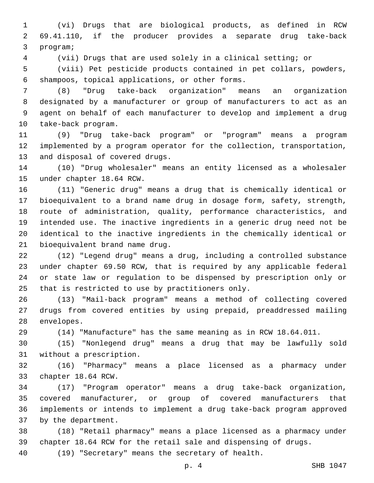(vi) Drugs that are biological products, as defined in RCW 69.41.110, if the producer provides a separate drug take-back 3 program;

(vii) Drugs that are used solely in a clinical setting; or

 (viii) Pet pesticide products contained in pet collars, powders, 6 shampoos, topical applications, or other forms.

 (8) "Drug take-back organization" means an organization designated by a manufacturer or group of manufacturers to act as an agent on behalf of each manufacturer to develop and implement a drug 10 take-back program.

 (9) "Drug take-back program" or "program" means a program implemented by a program operator for the collection, transportation, 13 and disposal of covered drugs.

 (10) "Drug wholesaler" means an entity licensed as a wholesaler 15 under chapter 18.64 RCW.

 (11) "Generic drug" means a drug that is chemically identical or bioequivalent to a brand name drug in dosage form, safety, strength, route of administration, quality, performance characteristics, and intended use. The inactive ingredients in a generic drug need not be identical to the inactive ingredients in the chemically identical or 21 bioequivalent brand name drug.

 (12) "Legend drug" means a drug, including a controlled substance under chapter 69.50 RCW, that is required by any applicable federal or state law or regulation to be dispensed by prescription only or 25 that is restricted to use by practitioners only.

 (13) "Mail-back program" means a method of collecting covered drugs from covered entities by using prepaid, preaddressed mailing 28 envelopes.

(14) "Manufacture" has the same meaning as in RCW 18.64.011.

 (15) "Nonlegend drug" means a drug that may be lawfully sold 31 without a prescription.

 (16) "Pharmacy" means a place licensed as a pharmacy under 33 chapter 18.64 RCW.

 (17) "Program operator" means a drug take-back organization, covered manufacturer, or group of covered manufacturers that implements or intends to implement a drug take-back program approved 37 by the department.

 (18) "Retail pharmacy" means a place licensed as a pharmacy under chapter 18.64 RCW for the retail sale and dispensing of drugs.

(19) "Secretary" means the secretary of health.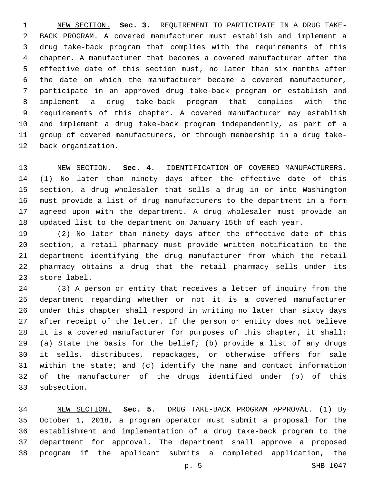NEW SECTION. **Sec. 3.** REQUIREMENT TO PARTICIPATE IN A DRUG TAKE- BACK PROGRAM. A covered manufacturer must establish and implement a drug take-back program that complies with the requirements of this chapter. A manufacturer that becomes a covered manufacturer after the effective date of this section must, no later than six months after the date on which the manufacturer became a covered manufacturer, participate in an approved drug take-back program or establish and implement a drug take-back program that complies with the requirements of this chapter. A covered manufacturer may establish and implement a drug take-back program independently, as part of a group of covered manufacturers, or through membership in a drug take-back organization.

 NEW SECTION. **Sec. 4.** IDENTIFICATION OF COVERED MANUFACTURERS. (1) No later than ninety days after the effective date of this section, a drug wholesaler that sells a drug in or into Washington must provide a list of drug manufacturers to the department in a form agreed upon with the department. A drug wholesaler must provide an updated list to the department on January 15th of each year.

 (2) No later than ninety days after the effective date of this section, a retail pharmacy must provide written notification to the department identifying the drug manufacturer from which the retail pharmacy obtains a drug that the retail pharmacy sells under its 23 store label.

 (3) A person or entity that receives a letter of inquiry from the department regarding whether or not it is a covered manufacturer under this chapter shall respond in writing no later than sixty days after receipt of the letter. If the person or entity does not believe it is a covered manufacturer for purposes of this chapter, it shall: (a) State the basis for the belief; (b) provide a list of any drugs it sells, distributes, repackages, or otherwise offers for sale within the state; and (c) identify the name and contact information of the manufacturer of the drugs identified under (b) of this 33 subsection.

 NEW SECTION. **Sec. 5.** DRUG TAKE-BACK PROGRAM APPROVAL. (1) By October 1, 2018, a program operator must submit a proposal for the establishment and implementation of a drug take-back program to the department for approval. The department shall approve a proposed program if the applicant submits a completed application, the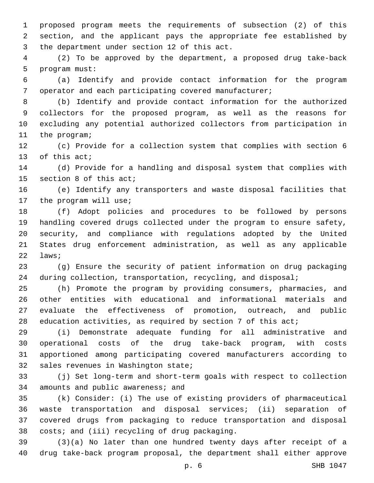proposed program meets the requirements of subsection (2) of this section, and the applicant pays the appropriate fee established by 3 the department under section 12 of this act.

 (2) To be approved by the department, a proposed drug take-back 5 program must:

 (a) Identify and provide contact information for the program operator and each participating covered manufacturer;

 (b) Identify and provide contact information for the authorized collectors for the proposed program, as well as the reasons for excluding any potential authorized collectors from participation in 11 the program;

 (c) Provide for a collection system that complies with section 6 13 of this act;

 (d) Provide for a handling and disposal system that complies with 15 section 8 of this  $acti$ 

 (e) Identify any transporters and waste disposal facilities that 17 the program will use;

 (f) Adopt policies and procedures to be followed by persons handling covered drugs collected under the program to ensure safety, security, and compliance with regulations adopted by the United States drug enforcement administration, as well as any applicable 22 laws;

 (g) Ensure the security of patient information on drug packaging during collection, transportation, recycling, and disposal;

 (h) Promote the program by providing consumers, pharmacies, and other entities with educational and informational materials and evaluate the effectiveness of promotion, outreach, and public 28 education activities, as required by section 7 of this act;

 (i) Demonstrate adequate funding for all administrative and operational costs of the drug take-back program, with costs apportioned among participating covered manufacturers according to 32 sales revenues in Washington state;

 (j) Set long-term and short-term goals with respect to collection 34 amounts and public awareness; and

 (k) Consider: (i) The use of existing providers of pharmaceutical waste transportation and disposal services; (ii) separation of covered drugs from packaging to reduce transportation and disposal 38 costs; and (iii) recycling of drug packaging.

 (3)(a) No later than one hundred twenty days after receipt of a drug take-back program proposal, the department shall either approve

p. 6 SHB 1047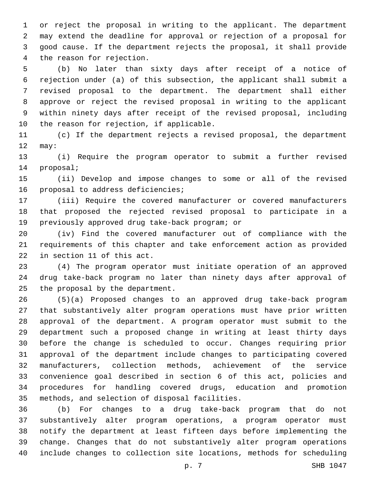or reject the proposal in writing to the applicant. The department may extend the deadline for approval or rejection of a proposal for good cause. If the department rejects the proposal, it shall provide 4 the reason for rejection.

 (b) No later than sixty days after receipt of a notice of rejection under (a) of this subsection, the applicant shall submit a revised proposal to the department. The department shall either approve or reject the revised proposal in writing to the applicant within ninety days after receipt of the revised proposal, including 10 the reason for rejection, if applicable.

 (c) If the department rejects a revised proposal, the department 12 may:

 (i) Require the program operator to submit a further revised 14 proposal;

 (ii) Develop and impose changes to some or all of the revised 16 proposal to address deficiencies;

 (iii) Require the covered manufacturer or covered manufacturers that proposed the rejected revised proposal to participate in a 19 previously approved drug take-back program; or

 (iv) Find the covered manufacturer out of compliance with the requirements of this chapter and take enforcement action as provided 22 in section 11 of this act.

 (4) The program operator must initiate operation of an approved drug take-back program no later than ninety days after approval of 25 the proposal by the department.

 (5)(a) Proposed changes to an approved drug take-back program that substantively alter program operations must have prior written approval of the department. A program operator must submit to the department such a proposed change in writing at least thirty days before the change is scheduled to occur. Changes requiring prior approval of the department include changes to participating covered manufacturers, collection methods, achievement of the service convenience goal described in section 6 of this act, policies and procedures for handling covered drugs, education and promotion 35 methods, and selection of disposal facilities.

 (b) For changes to a drug take-back program that do not substantively alter program operations, a program operator must notify the department at least fifteen days before implementing the change. Changes that do not substantively alter program operations include changes to collection site locations, methods for scheduling

p. 7 SHB 1047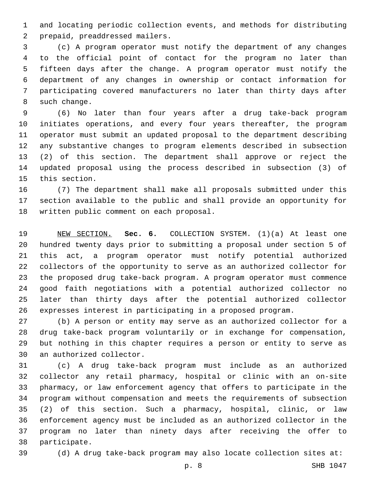and locating periodic collection events, and methods for distributing 2 prepaid, preaddressed mailers.

 (c) A program operator must notify the department of any changes to the official point of contact for the program no later than fifteen days after the change. A program operator must notify the department of any changes in ownership or contact information for participating covered manufacturers no later than thirty days after 8 such change.

 (6) No later than four years after a drug take-back program initiates operations, and every four years thereafter, the program operator must submit an updated proposal to the department describing any substantive changes to program elements described in subsection (2) of this section. The department shall approve or reject the updated proposal using the process described in subsection (3) of 15 this section.

 (7) The department shall make all proposals submitted under this section available to the public and shall provide an opportunity for 18 written public comment on each proposal.

 NEW SECTION. **Sec. 6.** COLLECTION SYSTEM. (1)(a) At least one hundred twenty days prior to submitting a proposal under section 5 of this act, a program operator must notify potential authorized collectors of the opportunity to serve as an authorized collector for the proposed drug take-back program. A program operator must commence good faith negotiations with a potential authorized collector no later than thirty days after the potential authorized collector expresses interest in participating in a proposed program.

 (b) A person or entity may serve as an authorized collector for a drug take-back program voluntarily or in exchange for compensation, but nothing in this chapter requires a person or entity to serve as 30 an authorized collector.

 (c) A drug take-back program must include as an authorized collector any retail pharmacy, hospital or clinic with an on-site pharmacy, or law enforcement agency that offers to participate in the program without compensation and meets the requirements of subsection (2) of this section. Such a pharmacy, hospital, clinic, or law enforcement agency must be included as an authorized collector in the program no later than ninety days after receiving the offer to 38 participate.

(d) A drug take-back program may also locate collection sites at: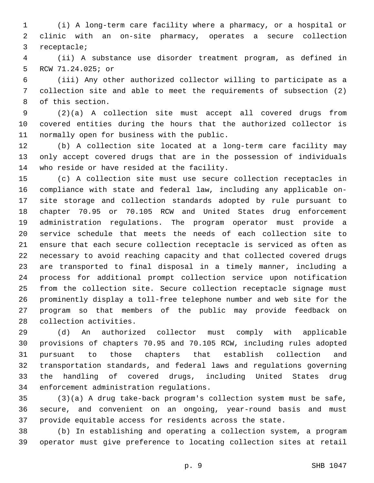(i) A long-term care facility where a pharmacy, or a hospital or clinic with an on-site pharmacy, operates a secure collection 3 receptacle;

 (ii) A substance use disorder treatment program, as defined in 5 RCW 71.24.025; or

 (iii) Any other authorized collector willing to participate as a collection site and able to meet the requirements of subsection (2) 8 of this section.

 (2)(a) A collection site must accept all covered drugs from covered entities during the hours that the authorized collector is 11 normally open for business with the public.

 (b) A collection site located at a long-term care facility may only accept covered drugs that are in the possession of individuals 14 who reside or have resided at the facility.

 (c) A collection site must use secure collection receptacles in compliance with state and federal law, including any applicable on- site storage and collection standards adopted by rule pursuant to chapter 70.95 or 70.105 RCW and United States drug enforcement administration regulations. The program operator must provide a service schedule that meets the needs of each collection site to ensure that each secure collection receptacle is serviced as often as necessary to avoid reaching capacity and that collected covered drugs are transported to final disposal in a timely manner, including a process for additional prompt collection service upon notification from the collection site. Secure collection receptacle signage must prominently display a toll-free telephone number and web site for the program so that members of the public may provide feedback on 28 collection activities.

 (d) An authorized collector must comply with applicable provisions of chapters 70.95 and 70.105 RCW, including rules adopted pursuant to those chapters that establish collection and transportation standards, and federal laws and regulations governing the handling of covered drugs, including United States drug 34 enforcement administration regulations.

 (3)(a) A drug take-back program's collection system must be safe, secure, and convenient on an ongoing, year-round basis and must provide equitable access for residents across the state.

 (b) In establishing and operating a collection system, a program operator must give preference to locating collection sites at retail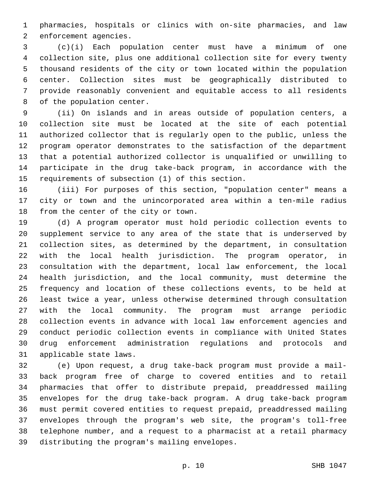pharmacies, hospitals or clinics with on-site pharmacies, and law 2 enforcement agencies.

 (c)(i) Each population center must have a minimum of one collection site, plus one additional collection site for every twenty thousand residents of the city or town located within the population center. Collection sites must be geographically distributed to provide reasonably convenient and equitable access to all residents 8 of the population center.

 (ii) On islands and in areas outside of population centers, a collection site must be located at the site of each potential authorized collector that is regularly open to the public, unless the program operator demonstrates to the satisfaction of the department that a potential authorized collector is unqualified or unwilling to participate in the drug take-back program, in accordance with the 15 requirements of subsection (1) of this section.

 (iii) For purposes of this section, "population center" means a city or town and the unincorporated area within a ten-mile radius 18 from the center of the city or town.

 (d) A program operator must hold periodic collection events to supplement service to any area of the state that is underserved by collection sites, as determined by the department, in consultation with the local health jurisdiction. The program operator, in consultation with the department, local law enforcement, the local health jurisdiction, and the local community, must determine the frequency and location of these collections events, to be held at least twice a year, unless otherwise determined through consultation with the local community. The program must arrange periodic collection events in advance with local law enforcement agencies and conduct periodic collection events in compliance with United States drug enforcement administration regulations and protocols and 31 applicable state laws.

 (e) Upon request, a drug take-back program must provide a mail- back program free of charge to covered entities and to retail pharmacies that offer to distribute prepaid, preaddressed mailing envelopes for the drug take-back program. A drug take-back program must permit covered entities to request prepaid, preaddressed mailing envelopes through the program's web site, the program's toll-free telephone number, and a request to a pharmacist at a retail pharmacy 39 distributing the program's mailing envelopes.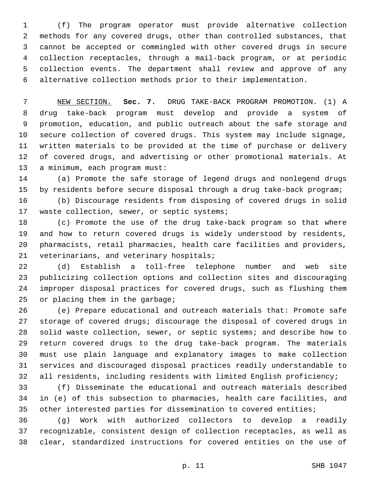(f) The program operator must provide alternative collection methods for any covered drugs, other than controlled substances, that cannot be accepted or commingled with other covered drugs in secure collection receptacles, through a mail-back program, or at periodic collection events. The department shall review and approve of any alternative collection methods prior to their implementation.

 NEW SECTION. **Sec. 7.** DRUG TAKE-BACK PROGRAM PROMOTION. (1) A drug take-back program must develop and provide a system of promotion, education, and public outreach about the safe storage and secure collection of covered drugs. This system may include signage, written materials to be provided at the time of purchase or delivery of covered drugs, and advertising or other promotional materials. At a minimum, each program must:

 (a) Promote the safe storage of legend drugs and nonlegend drugs by residents before secure disposal through a drug take-back program;

 (b) Discourage residents from disposing of covered drugs in solid 17 waste collection, sewer, or septic systems;

 (c) Promote the use of the drug take-back program so that where and how to return covered drugs is widely understood by residents, pharmacists, retail pharmacies, health care facilities and providers, 21 veterinarians, and veterinary hospitals;

 (d) Establish a toll-free telephone number and web site publicizing collection options and collection sites and discouraging improper disposal practices for covered drugs, such as flushing them 25 or placing them in the garbage;

 (e) Prepare educational and outreach materials that: Promote safe storage of covered drugs; discourage the disposal of covered drugs in solid waste collection, sewer, or septic systems; and describe how to return covered drugs to the drug take-back program. The materials must use plain language and explanatory images to make collection services and discouraged disposal practices readily understandable to all residents, including residents with limited English proficiency;

 (f) Disseminate the educational and outreach materials described in (e) of this subsection to pharmacies, health care facilities, and other interested parties for dissemination to covered entities;

 (g) Work with authorized collectors to develop a readily recognizable, consistent design of collection receptacles, as well as clear, standardized instructions for covered entities on the use of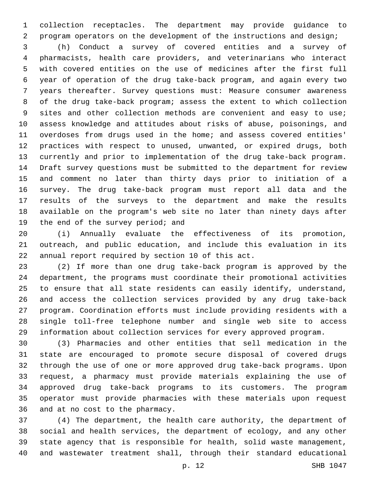collection receptacles. The department may provide guidance to program operators on the development of the instructions and design;

 (h) Conduct a survey of covered entities and a survey of pharmacists, health care providers, and veterinarians who interact with covered entities on the use of medicines after the first full year of operation of the drug take-back program, and again every two years thereafter. Survey questions must: Measure consumer awareness of the drug take-back program; assess the extent to which collection 9 sites and other collection methods are convenient and easy to use; assess knowledge and attitudes about risks of abuse, poisonings, and overdoses from drugs used in the home; and assess covered entities' practices with respect to unused, unwanted, or expired drugs, both currently and prior to implementation of the drug take-back program. Draft survey questions must be submitted to the department for review and comment no later than thirty days prior to initiation of a survey. The drug take-back program must report all data and the results of the surveys to the department and make the results available on the program's web site no later than ninety days after 19 the end of the survey period; and

 (i) Annually evaluate the effectiveness of its promotion, outreach, and public education, and include this evaluation in its 22 annual report required by section 10 of this act.

 (2) If more than one drug take-back program is approved by the department, the programs must coordinate their promotional activities to ensure that all state residents can easily identify, understand, and access the collection services provided by any drug take-back program. Coordination efforts must include providing residents with a single toll-free telephone number and single web site to access information about collection services for every approved program.

 (3) Pharmacies and other entities that sell medication in the state are encouraged to promote secure disposal of covered drugs through the use of one or more approved drug take-back programs. Upon request, a pharmacy must provide materials explaining the use of approved drug take-back programs to its customers. The program operator must provide pharmacies with these materials upon request 36 and at no cost to the pharmacy.

 (4) The department, the health care authority, the department of social and health services, the department of ecology, and any other state agency that is responsible for health, solid waste management, and wastewater treatment shall, through their standard educational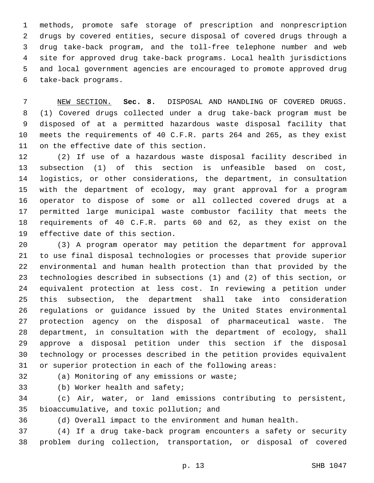methods, promote safe storage of prescription and nonprescription drugs by covered entities, secure disposal of covered drugs through a drug take-back program, and the toll-free telephone number and web site for approved drug take-back programs. Local health jurisdictions and local government agencies are encouraged to promote approved drug take-back programs.6

 NEW SECTION. **Sec. 8.** DISPOSAL AND HANDLING OF COVERED DRUGS. (1) Covered drugs collected under a drug take-back program must be disposed of at a permitted hazardous waste disposal facility that meets the requirements of 40 C.F.R. parts 264 and 265, as they exist on the effective date of this section.

 (2) If use of a hazardous waste disposal facility described in subsection (1) of this section is unfeasible based on cost, logistics, or other considerations, the department, in consultation with the department of ecology, may grant approval for a program operator to dispose of some or all collected covered drugs at a permitted large municipal waste combustor facility that meets the requirements of 40 C.F.R. parts 60 and 62, as they exist on the 19 effective date of this section.

 (3) A program operator may petition the department for approval to use final disposal technologies or processes that provide superior environmental and human health protection than that provided by the technologies described in subsections (1) and (2) of this section, or equivalent protection at less cost. In reviewing a petition under this subsection, the department shall take into consideration regulations or guidance issued by the United States environmental protection agency on the disposal of pharmaceutical waste. The department, in consultation with the department of ecology, shall approve a disposal petition under this section if the disposal technology or processes described in the petition provides equivalent or superior protection in each of the following areas:

32 (a) Monitoring of any emissions or waste;

33 (b) Worker health and safety;

 (c) Air, water, or land emissions contributing to persistent, 35 bioaccumulative, and toxic pollution; and

(d) Overall impact to the environment and human health.

 (4) If a drug take-back program encounters a safety or security problem during collection, transportation, or disposal of covered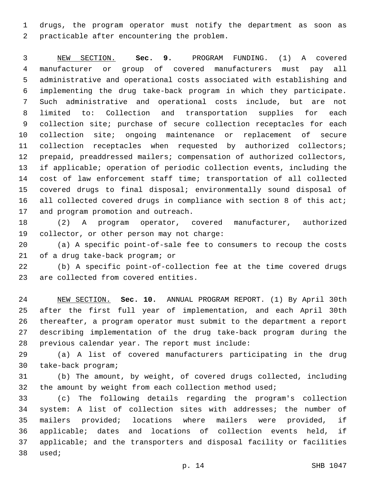drugs, the program operator must notify the department as soon as 2 practicable after encountering the problem.

 NEW SECTION. **Sec. 9.** PROGRAM FUNDING. (1) A covered manufacturer or group of covered manufacturers must pay all administrative and operational costs associated with establishing and implementing the drug take-back program in which they participate. Such administrative and operational costs include, but are not limited to: Collection and transportation supplies for each 9 collection site; purchase of secure collection receptacles for each collection site; ongoing maintenance or replacement of secure collection receptacles when requested by authorized collectors; prepaid, preaddressed mailers; compensation of authorized collectors, if applicable; operation of periodic collection events, including the cost of law enforcement staff time; transportation of all collected covered drugs to final disposal; environmentally sound disposal of 16 all collected covered drugs in compliance with section 8 of this act; and program promotion and outreach.

 (2) A program operator, covered manufacturer, authorized 19 collector, or other person may not charge:

 (a) A specific point-of-sale fee to consumers to recoup the costs 21 of a drug take-back program; or

 (b) A specific point-of-collection fee at the time covered drugs 23 are collected from covered entities.

 NEW SECTION. **Sec. 10.** ANNUAL PROGRAM REPORT. (1) By April 30th after the first full year of implementation, and each April 30th thereafter, a program operator must submit to the department a report describing implementation of the drug take-back program during the previous calendar year. The report must include:

 (a) A list of covered manufacturers participating in the drug 30 take-back program;

 (b) The amount, by weight, of covered drugs collected, including 32 the amount by weight from each collection method used;

 (c) The following details regarding the program's collection system: A list of collection sites with addresses; the number of mailers provided; locations where mailers were provided, if applicable; dates and locations of collection events held, if applicable; and the transporters and disposal facility or facilities 38 used;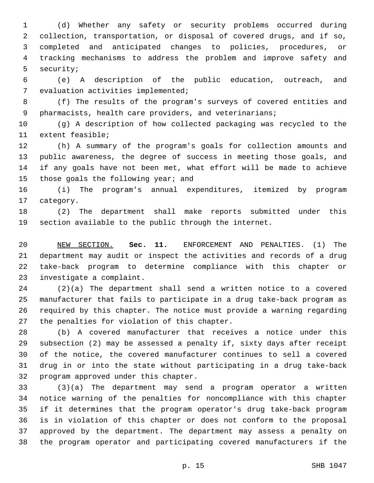(d) Whether any safety or security problems occurred during collection, transportation, or disposal of covered drugs, and if so, completed and anticipated changes to policies, procedures, or tracking mechanisms to address the problem and improve safety and 5 security;

 (e) A description of the public education, outreach, and 7 evaluation activities implemented;

 (f) The results of the program's surveys of covered entities and 9 pharmacists, health care providers, and veterinarians;

 (g) A description of how collected packaging was recycled to the 11 extent feasible;

 (h) A summary of the program's goals for collection amounts and public awareness, the degree of success in meeting those goals, and if any goals have not been met, what effort will be made to achieve 15 those goals the following year; and

 (i) The program's annual expenditures, itemized by program 17 category.

 (2) The department shall make reports submitted under this section available to the public through the internet.

 NEW SECTION. **Sec. 11.** ENFORCEMENT AND PENALTIES. (1) The department may audit or inspect the activities and records of a drug take-back program to determine compliance with this chapter or investigate a complaint.

 (2)(a) The department shall send a written notice to a covered manufacturer that fails to participate in a drug take-back program as required by this chapter. The notice must provide a warning regarding 27 the penalties for violation of this chapter.

 (b) A covered manufacturer that receives a notice under this subsection (2) may be assessed a penalty if, sixty days after receipt of the notice, the covered manufacturer continues to sell a covered drug in or into the state without participating in a drug take-back 32 program approved under this chapter.

 (3)(a) The department may send a program operator a written notice warning of the penalties for noncompliance with this chapter if it determines that the program operator's drug take-back program is in violation of this chapter or does not conform to the proposal approved by the department. The department may assess a penalty on the program operator and participating covered manufacturers if the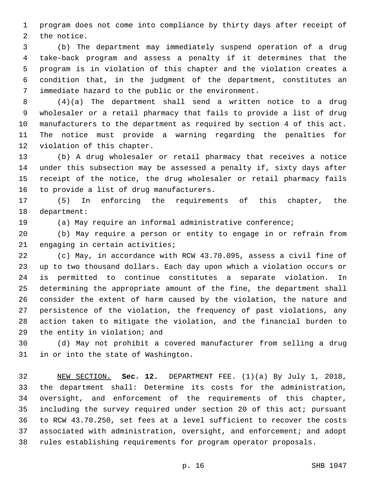program does not come into compliance by thirty days after receipt of 2 the notice.

 (b) The department may immediately suspend operation of a drug take-back program and assess a penalty if it determines that the program is in violation of this chapter and the violation creates a condition that, in the judgment of the department, constitutes an immediate hazard to the public or the environment.7

 (4)(a) The department shall send a written notice to a drug wholesaler or a retail pharmacy that fails to provide a list of drug manufacturers to the department as required by section 4 of this act. The notice must provide a warning regarding the penalties for 12 violation of this chapter.

 (b) A drug wholesaler or retail pharmacy that receives a notice under this subsection may be assessed a penalty if, sixty days after receipt of the notice, the drug wholesaler or retail pharmacy fails 16 to provide a list of drug manufacturers.

 (5) In enforcing the requirements of this chapter, the 18 department:

(a) May require an informal administrative conference;

 (b) May require a person or entity to engage in or refrain from 21 engaging in certain activities;

 (c) May, in accordance with RCW 43.70.095, assess a civil fine of up to two thousand dollars. Each day upon which a violation occurs or is permitted to continue constitutes a separate violation. In determining the appropriate amount of the fine, the department shall consider the extent of harm caused by the violation, the nature and persistence of the violation, the frequency of past violations, any action taken to mitigate the violation, and the financial burden to 29 the entity in violation; and

 (d) May not prohibit a covered manufacturer from selling a drug 31 in or into the state of Washington.

 NEW SECTION. **Sec. 12.** DEPARTMENT FEE. (1)(a) By July 1, 2018, the department shall: Determine its costs for the administration, oversight, and enforcement of the requirements of this chapter, including the survey required under section 20 of this act; pursuant to RCW 43.70.250, set fees at a level sufficient to recover the costs associated with administration, oversight, and enforcement; and adopt rules establishing requirements for program operator proposals.

p. 16 SHB 1047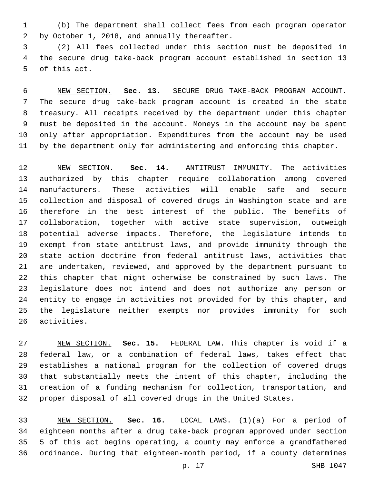(b) The department shall collect fees from each program operator by October 1, 2018, and annually thereafter.2

 (2) All fees collected under this section must be deposited in the secure drug take-back program account established in section 13 5 of this act.

 NEW SECTION. **Sec. 13.** SECURE DRUG TAKE-BACK PROGRAM ACCOUNT. The secure drug take-back program account is created in the state treasury. All receipts received by the department under this chapter must be deposited in the account. Moneys in the account may be spent only after appropriation. Expenditures from the account may be used by the department only for administering and enforcing this chapter.

 NEW SECTION. **Sec. 14.** ANTITRUST IMMUNITY. The activities authorized by this chapter require collaboration among covered manufacturers. These activities will enable safe and secure collection and disposal of covered drugs in Washington state and are therefore in the best interest of the public. The benefits of collaboration, together with active state supervision, outweigh potential adverse impacts. Therefore, the legislature intends to exempt from state antitrust laws, and provide immunity through the state action doctrine from federal antitrust laws, activities that are undertaken, reviewed, and approved by the department pursuant to this chapter that might otherwise be constrained by such laws. The legislature does not intend and does not authorize any person or entity to engage in activities not provided for by this chapter, and the legislature neither exempts nor provides immunity for such activities.

 NEW SECTION. **Sec. 15.** FEDERAL LAW. This chapter is void if a federal law, or a combination of federal laws, takes effect that establishes a national program for the collection of covered drugs that substantially meets the intent of this chapter, including the creation of a funding mechanism for collection, transportation, and proper disposal of all covered drugs in the United States.

 NEW SECTION. **Sec. 16.** LOCAL LAWS. (1)(a) For a period of eighteen months after a drug take-back program approved under section 5 of this act begins operating, a county may enforce a grandfathered ordinance. During that eighteen-month period, if a county determines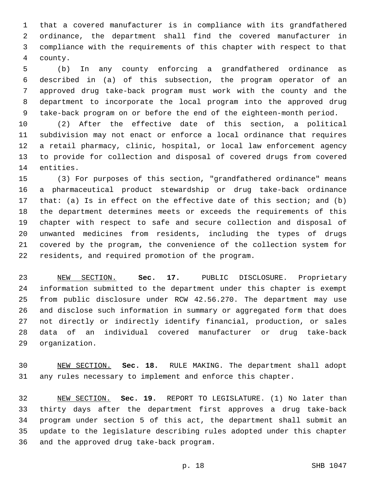that a covered manufacturer is in compliance with its grandfathered ordinance, the department shall find the covered manufacturer in compliance with the requirements of this chapter with respect to that 4 county.

 (b) In any county enforcing a grandfathered ordinance as described in (a) of this subsection, the program operator of an approved drug take-back program must work with the county and the department to incorporate the local program into the approved drug take-back program on or before the end of the eighteen-month period.

 (2) After the effective date of this section, a political subdivision may not enact or enforce a local ordinance that requires a retail pharmacy, clinic, hospital, or local law enforcement agency to provide for collection and disposal of covered drugs from covered 14 entities.

 (3) For purposes of this section, "grandfathered ordinance" means a pharmaceutical product stewardship or drug take-back ordinance that: (a) Is in effect on the effective date of this section; and (b) the department determines meets or exceeds the requirements of this chapter with respect to safe and secure collection and disposal of unwanted medicines from residents, including the types of drugs covered by the program, the convenience of the collection system for 22 residents, and required promotion of the program.

 NEW SECTION. **Sec. 17.** PUBLIC DISCLOSURE. Proprietary information submitted to the department under this chapter is exempt from public disclosure under RCW 42.56.270. The department may use and disclose such information in summary or aggregated form that does not directly or indirectly identify financial, production, or sales data of an individual covered manufacturer or drug take-back organization.

 NEW SECTION. **Sec. 18.** RULE MAKING. The department shall adopt any rules necessary to implement and enforce this chapter.

 NEW SECTION. **Sec. 19.** REPORT TO LEGISLATURE. (1) No later than thirty days after the department first approves a drug take-back program under section 5 of this act, the department shall submit an update to the legislature describing rules adopted under this chapter and the approved drug take-back program.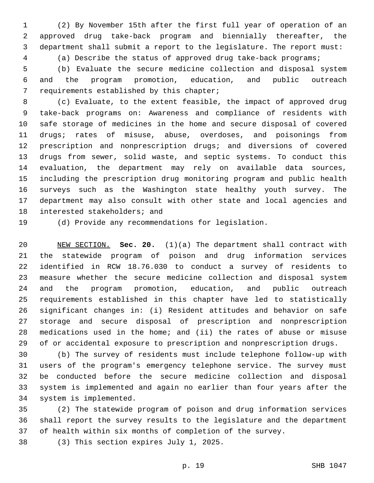(2) By November 15th after the first full year of operation of an approved drug take-back program and biennially thereafter, the department shall submit a report to the legislature. The report must: (a) Describe the status of approved drug take-back programs;

 (b) Evaluate the secure medicine collection and disposal system and the program promotion, education, and public outreach 7 requirements established by this chapter;

 (c) Evaluate, to the extent feasible, the impact of approved drug take-back programs on: Awareness and compliance of residents with safe storage of medicines in the home and secure disposal of covered drugs; rates of misuse, abuse, overdoses, and poisonings from prescription and nonprescription drugs; and diversions of covered drugs from sewer, solid waste, and septic systems. To conduct this evaluation, the department may rely on available data sources, including the prescription drug monitoring program and public health surveys such as the Washington state healthy youth survey. The department may also consult with other state and local agencies and 18 interested stakeholders; and

(d) Provide any recommendations for legislation.

 NEW SECTION. **Sec. 20.** (1)(a) The department shall contract with the statewide program of poison and drug information services identified in RCW 18.76.030 to conduct a survey of residents to measure whether the secure medicine collection and disposal system and the program promotion, education, and public outreach requirements established in this chapter have led to statistically significant changes in: (i) Resident attitudes and behavior on safe storage and secure disposal of prescription and nonprescription medications used in the home; and (ii) the rates of abuse or misuse of or accidental exposure to prescription and nonprescription drugs.

 (b) The survey of residents must include telephone follow-up with users of the program's emergency telephone service. The survey must be conducted before the secure medicine collection and disposal system is implemented and again no earlier than four years after the 34 system is implemented.

 (2) The statewide program of poison and drug information services shall report the survey results to the legislature and the department of health within six months of completion of the survey.

38 (3) This section expires July 1, 2025.

p. 19 SHB 1047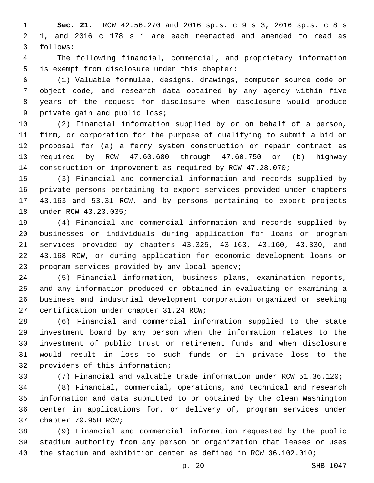**Sec. 21.** RCW 42.56.270 and 2016 sp.s. c 9 s 3, 2016 sp.s. c 8 s 1, and 2016 c 178 s 1 are each reenacted and amended to read as follows:3

 The following financial, commercial, and proprietary information 5 is exempt from disclosure under this chapter:

 (1) Valuable formulae, designs, drawings, computer source code or object code, and research data obtained by any agency within five years of the request for disclosure when disclosure would produce 9 private gain and public loss;

 (2) Financial information supplied by or on behalf of a person, firm, or corporation for the purpose of qualifying to submit a bid or proposal for (a) a ferry system construction or repair contract as required by RCW 47.60.680 through 47.60.750 or (b) highway construction or improvement as required by RCW 47.28.070;

 (3) Financial and commercial information and records supplied by private persons pertaining to export services provided under chapters 43.163 and 53.31 RCW, and by persons pertaining to export projects 18 under RCW 43.23.035;

 (4) Financial and commercial information and records supplied by businesses or individuals during application for loans or program services provided by chapters 43.325, 43.163, 43.160, 43.330, and 43.168 RCW, or during application for economic development loans or 23 program services provided by any local agency;

 (5) Financial information, business plans, examination reports, and any information produced or obtained in evaluating or examining a business and industrial development corporation organized or seeking 27 certification under chapter 31.24 RCW;

 (6) Financial and commercial information supplied to the state investment board by any person when the information relates to the investment of public trust or retirement funds and when disclosure would result in loss to such funds or in private loss to the 32 providers of this information;

(7) Financial and valuable trade information under RCW 51.36.120;

 (8) Financial, commercial, operations, and technical and research information and data submitted to or obtained by the clean Washington center in applications for, or delivery of, program services under 37 chapter 70.95H RCW;

 (9) Financial and commercial information requested by the public stadium authority from any person or organization that leases or uses the stadium and exhibition center as defined in RCW 36.102.010;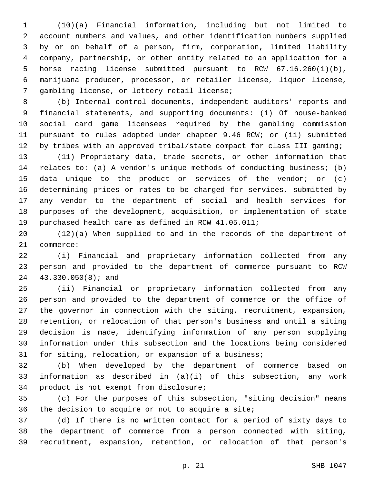(10)(a) Financial information, including but not limited to account numbers and values, and other identification numbers supplied by or on behalf of a person, firm, corporation, limited liability company, partnership, or other entity related to an application for a horse racing license submitted pursuant to RCW 67.16.260(1)(b), marijuana producer, processor, or retailer license, liquor license, 7 gambling license, or lottery retail license;

 (b) Internal control documents, independent auditors' reports and financial statements, and supporting documents: (i) Of house-banked social card game licensees required by the gambling commission pursuant to rules adopted under chapter 9.46 RCW; or (ii) submitted by tribes with an approved tribal/state compact for class III gaming;

 (11) Proprietary data, trade secrets, or other information that relates to: (a) A vendor's unique methods of conducting business; (b) data unique to the product or services of the vendor; or (c) determining prices or rates to be charged for services, submitted by any vendor to the department of social and health services for purposes of the development, acquisition, or implementation of state purchased health care as defined in RCW 41.05.011;

 (12)(a) When supplied to and in the records of the department of 21 commerce:

 (i) Financial and proprietary information collected from any person and provided to the department of commerce pursuant to RCW 24 43.330.050(8); and

 (ii) Financial or proprietary information collected from any person and provided to the department of commerce or the office of the governor in connection with the siting, recruitment, expansion, retention, or relocation of that person's business and until a siting decision is made, identifying information of any person supplying information under this subsection and the locations being considered for siting, relocation, or expansion of a business;

 (b) When developed by the department of commerce based on information as described in (a)(i) of this subsection, any work 34 product is not exempt from disclosure;

 (c) For the purposes of this subsection, "siting decision" means 36 the decision to acquire or not to acquire a site;

 (d) If there is no written contact for a period of sixty days to the department of commerce from a person connected with siting, recruitment, expansion, retention, or relocation of that person's

p. 21 SHB 1047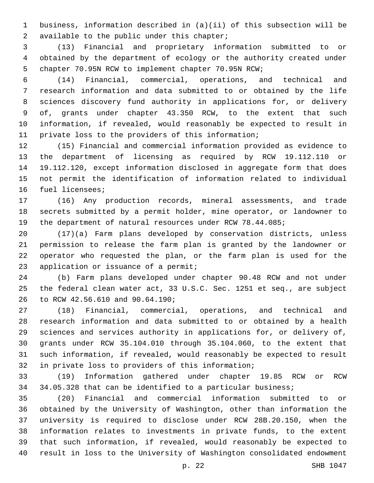business, information described in (a)(ii) of this subsection will be 2 available to the public under this chapter;

 (13) Financial and proprietary information submitted to or obtained by the department of ecology or the authority created under chapter 70.95N RCW to implement chapter 70.95N RCW;

 (14) Financial, commercial, operations, and technical and research information and data submitted to or obtained by the life sciences discovery fund authority in applications for, or delivery of, grants under chapter 43.350 RCW, to the extent that such information, if revealed, would reasonably be expected to result in private loss to the providers of this information;

 (15) Financial and commercial information provided as evidence to the department of licensing as required by RCW 19.112.110 or 19.112.120, except information disclosed in aggregate form that does not permit the identification of information related to individual 16 fuel licensees;

 (16) Any production records, mineral assessments, and trade secrets submitted by a permit holder, mine operator, or landowner to the department of natural resources under RCW 78.44.085;

 (17)(a) Farm plans developed by conservation districts, unless permission to release the farm plan is granted by the landowner or operator who requested the plan, or the farm plan is used for the 23 application or issuance of a permit;

 (b) Farm plans developed under chapter 90.48 RCW and not under the federal clean water act, 33 U.S.C. Sec. 1251 et seq., are subject 26 to RCW 42.56.610 and 90.64.190;

 (18) Financial, commercial, operations, and technical and research information and data submitted to or obtained by a health sciences and services authority in applications for, or delivery of, grants under RCW 35.104.010 through 35.104.060, to the extent that such information, if revealed, would reasonably be expected to result 32 in private loss to providers of this information;

 (19) Information gathered under chapter 19.85 RCW or RCW 34 34.05.328 that can be identified to a particular business;

 (20) Financial and commercial information submitted to or obtained by the University of Washington, other than information the university is required to disclose under RCW 28B.20.150, when the information relates to investments in private funds, to the extent that such information, if revealed, would reasonably be expected to result in loss to the University of Washington consolidated endowment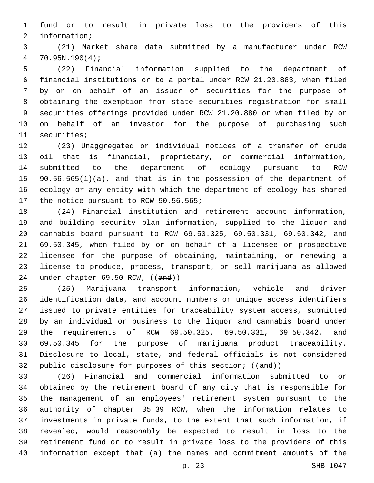fund or to result in private loss to the providers of this 2 information;

 (21) Market share data submitted by a manufacturer under RCW 70.95N.190(4);

 (22) Financial information supplied to the department of financial institutions or to a portal under RCW 21.20.883, when filed by or on behalf of an issuer of securities for the purpose of obtaining the exemption from state securities registration for small securities offerings provided under RCW 21.20.880 or when filed by or on behalf of an investor for the purpose of purchasing such 11 securities;

 (23) Unaggregated or individual notices of a transfer of crude oil that is financial, proprietary, or commercial information, submitted to the department of ecology pursuant to RCW 90.56.565(1)(a), and that is in the possession of the department of ecology or any entity with which the department of ecology has shared 17 the notice pursuant to RCW 90.56.565;

 (24) Financial institution and retirement account information, and building security plan information, supplied to the liquor and cannabis board pursuant to RCW 69.50.325, 69.50.331, 69.50.342, and 69.50.345, when filed by or on behalf of a licensee or prospective licensee for the purpose of obtaining, maintaining, or renewing a license to produce, process, transport, or sell marijuana as allowed 24 under chapter 69.50 RCW; ((and))

 (25) Marijuana transport information, vehicle and driver identification data, and account numbers or unique access identifiers issued to private entities for traceability system access, submitted by an individual or business to the liquor and cannabis board under the requirements of RCW 69.50.325, 69.50.331, 69.50.342, and 69.50.345 for the purpose of marijuana product traceability. Disclosure to local, state, and federal officials is not considered 32 public disclosure for purposes of this section; ((and))

 (26) Financial and commercial information submitted to or obtained by the retirement board of any city that is responsible for the management of an employees' retirement system pursuant to the authority of chapter 35.39 RCW, when the information relates to investments in private funds, to the extent that such information, if revealed, would reasonably be expected to result in loss to the retirement fund or to result in private loss to the providers of this information except that (a) the names and commitment amounts of the

p. 23 SHB 1047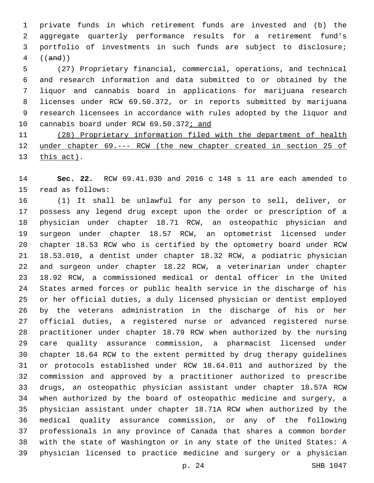private funds in which retirement funds are invested and (b) the aggregate quarterly performance results for a retirement fund's portfolio of investments in such funds are subject to disclosure; ((and))

 (27) Proprietary financial, commercial, operations, and technical and research information and data submitted to or obtained by the liquor and cannabis board in applications for marijuana research licenses under RCW 69.50.372, or in reports submitted by marijuana research licensees in accordance with rules adopted by the liquor and 10 cannabis board under RCW 69.50.372; and

 (28) Proprietary information filed with the department of health 12 under chapter 69. --- RCW (the new chapter created in section 25 of 13 this act).

 **Sec. 22.** RCW 69.41.030 and 2016 c 148 s 11 are each amended to 15 read as follows:

 (1) It shall be unlawful for any person to sell, deliver, or possess any legend drug except upon the order or prescription of a physician under chapter 18.71 RCW, an osteopathic physician and surgeon under chapter 18.57 RCW, an optometrist licensed under chapter 18.53 RCW who is certified by the optometry board under RCW 18.53.010, a dentist under chapter 18.32 RCW, a podiatric physician and surgeon under chapter 18.22 RCW, a veterinarian under chapter 18.92 RCW, a commissioned medical or dental officer in the United States armed forces or public health service in the discharge of his or her official duties, a duly licensed physician or dentist employed by the veterans administration in the discharge of his or her official duties, a registered nurse or advanced registered nurse practitioner under chapter 18.79 RCW when authorized by the nursing care quality assurance commission, a pharmacist licensed under chapter 18.64 RCW to the extent permitted by drug therapy guidelines or protocols established under RCW 18.64.011 and authorized by the commission and approved by a practitioner authorized to prescribe drugs, an osteopathic physician assistant under chapter 18.57A RCW when authorized by the board of osteopathic medicine and surgery, a physician assistant under chapter 18.71A RCW when authorized by the medical quality assurance commission, or any of the following professionals in any province of Canada that shares a common border with the state of Washington or in any state of the United States: A physician licensed to practice medicine and surgery or a physician

p. 24 SHB 1047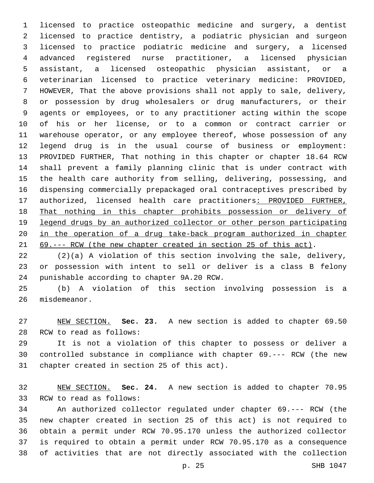licensed to practice osteopathic medicine and surgery, a dentist licensed to practice dentistry, a podiatric physician and surgeon licensed to practice podiatric medicine and surgery, a licensed advanced registered nurse practitioner, a licensed physician assistant, a licensed osteopathic physician assistant, or a veterinarian licensed to practice veterinary medicine: PROVIDED, HOWEVER, That the above provisions shall not apply to sale, delivery, or possession by drug wholesalers or drug manufacturers, or their agents or employees, or to any practitioner acting within the scope of his or her license, or to a common or contract carrier or warehouse operator, or any employee thereof, whose possession of any legend drug is in the usual course of business or employment: PROVIDED FURTHER, That nothing in this chapter or chapter 18.64 RCW shall prevent a family planning clinic that is under contract with the health care authority from selling, delivering, possessing, and dispensing commercially prepackaged oral contraceptives prescribed by authorized, licensed health care practitioners: PROVIDED FURTHER, That nothing in this chapter prohibits possession or delivery of legend drugs by an authorized collector or other person participating in the operation of a drug take-back program authorized in chapter 69.--- RCW (the new chapter created in section 25 of this act).

 (2)(a) A violation of this section involving the sale, delivery, or possession with intent to sell or deliver is a class B felony 24 punishable according to chapter 9A.20 RCW.

 (b) A violation of this section involving possession is a 26 misdemeanor.

 NEW SECTION. **Sec. 23.** A new section is added to chapter 69.50 28 RCW to read as follows:

 It is not a violation of this chapter to possess or deliver a controlled substance in compliance with chapter 69.--- RCW (the new 31 chapter created in section 25 of this act).

 NEW SECTION. **Sec. 24.** A new section is added to chapter 70.95 33 RCW to read as follows:

 An authorized collector regulated under chapter 69.--- RCW (the new chapter created in section 25 of this act) is not required to obtain a permit under RCW 70.95.170 unless the authorized collector is required to obtain a permit under RCW 70.95.170 as a consequence of activities that are not directly associated with the collection